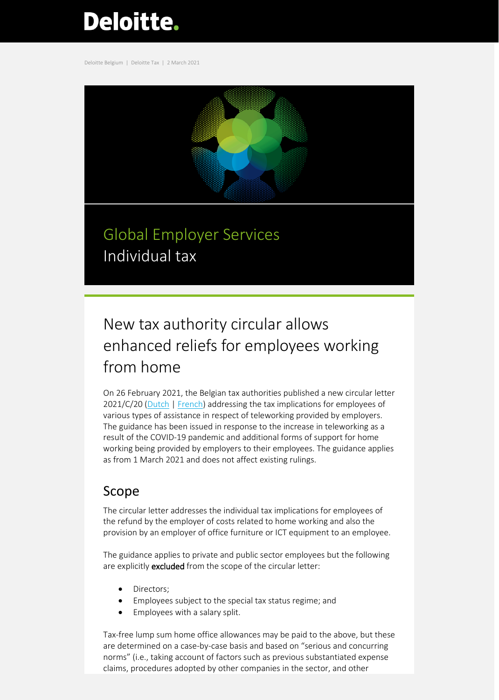# **Deloitte.**

Deloitte Belgium | Deloitte Tax | 2 March 2021



## Global Employer Services Individual tax

## New tax authority circular allows enhanced reliefs for employees working from home

On 26 February 2021, the Belgian tax authorities published a new circular letter 2021/C/20 [\(Dutch](https://www2.deloitte.com/content/dam/Deloitte/be/Documents/tax/TaxAlerts/IndividualTaxAlerts/Circulaire%202021_C_20%20over%20tussenkomsten%20van%20de%20werkgever%20voor%20thuiswerk.pdf) [| French\)](https://www2.deloitte.com/content/dam/Deloitte/be/Documents/tax/TaxAlerts/IndividualTaxAlerts/Circulaire%202021_C_20%20relative%20aux%20interventions%20de%20l%E2%80%99employeur%20pour%20le%20t%C3%A9l%C3%A9travail.pdf) addressing the tax implications for employees of various types of assistance in respect of teleworking provided by employers. The guidance has been issued in response to the increase in teleworking as a result of the COVID-19 pandemic and additional forms of support for home working being provided by employers to their employees. The guidance applies as from 1 March 2021 and does not affect existing rulings.

### Scope

The circular letter addresses the individual tax implications for employees of the refund by the employer of costs related to home working and also the provision by an employer of office furniture or ICT equipment to an employee.

The guidance applies to private and public sector employees but the following are explicitly **excluded** from the scope of the circular letter:

- Directors;
- Employees subject to the special tax status regime; and
- Employees with a salary split.

Tax-free lump sum home office allowances may be paid to the above, but these are determined on a case-by-case basis and based on "serious and concurring norms" (i.e., taking account of factors such as previous substantiated expense claims, procedures adopted by other companies in the sector, and other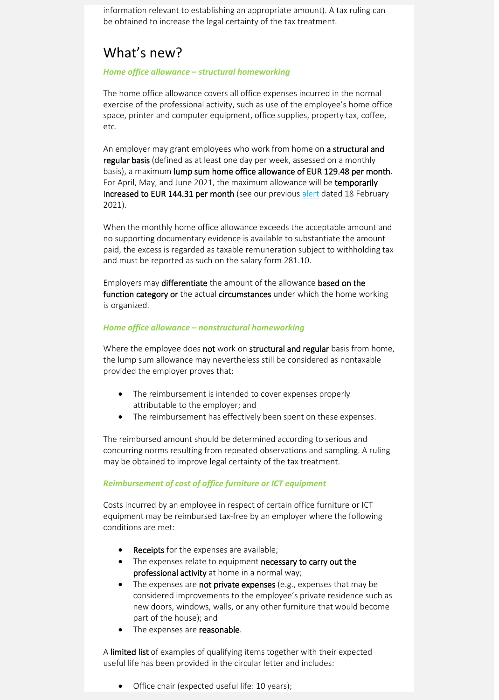information relevant to establishing an appropriate amount). A tax ruling can be obtained to increase the legal certainty of the tax treatment.

### What's new?

#### *Home office allowance – structural homeworking*

The home office allowance covers all office expenses incurred in the normal exercise of the professional activity, such as use of the employee's home office space, printer and computer equipment, office supplies, property tax, coffee, etc.

An employer may grant employees who work from home on a structural and regular basis (defined as at least one day per week, assessed on a monthly basis), a maximum lump sum home office allowance of EUR 129.48 per month. For April, May, and June 2021, the maximum allowance will be temporarily increased to EUR 144.31 per month (see our previou[s alert](https://www2.deloitte.com/content/dam/Deloitte/be/Documents/tax/TaxAlerts/IndividualTaxAlerts/Individual%20tax%20alert_Telework%2019%20Feb%2021.pdf) dated 18 February 2021).

When the monthly home office allowance exceeds the acceptable amount and no supporting documentary evidence is available to substantiate the amount paid, the excess is regarded as taxable remuneration subject to withholding tax and must be reported as such on the salary form 281.10.

Employers may differentiate the amount of the allowance based on the function category or the actual circumstances under which the home working is organized.

#### *Home office allowance – nonstructural homeworking*

Where the employee does not work on structural and regular basis from home, the lump sum allowance may nevertheless still be considered as nontaxable provided the employer proves that:

- The reimbursement is intended to cover expenses properly attributable to the employer; and
- The reimbursement has effectively been spent on these expenses.

The reimbursed amount should be determined according to serious and concurring norms resulting from repeated observations and sampling. A ruling may be obtained to improve legal certainty of the tax treatment.

#### *Reimbursement of cost of office furniture or ICT equipment*

Costs incurred by an employee in respect of certain office furniture or ICT equipment may be reimbursed tax-free by an employer where the following conditions are met:

- Receipts for the expenses are available;
- The expenses relate to equipment necessary to carry out the professional activity at home in a normal way;
- The expenses are not private expenses (e.g., expenses that may be considered improvements to the employee's private residence such as new doors, windows, walls, or any other furniture that would become part of the house); and
- The expenses are **reasonable**.

A limited list of examples of qualifying items together with their expected useful life has been provided in the circular letter and includes:

• Office chair (expected useful life: 10 years);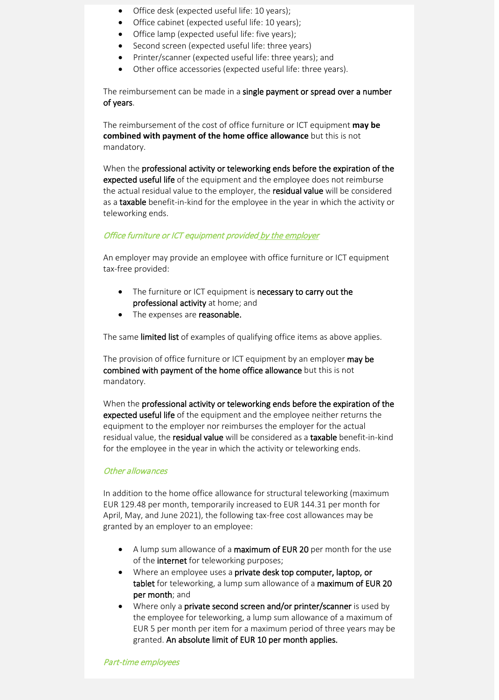- Office desk (expected useful life: 10 years);
- Office cabinet (expected useful life: 10 years);
- Office lamp (expected useful life: five years);
- Second screen (expected useful life: three years)
- Printer/scanner (expected useful life: three years); and
- Other office accessories (expected useful life: three years).

The reimbursement can be made in a single payment or spread over a number of years.

The reimbursement of the cost of office furniture or ICT equipment **may be combined with payment of the home office allowance** but this is not mandatory.

When the professional activity or teleworking ends before the expiration of the expected useful life of the equipment and the employee does not reimburse the actual residual value to the employer, the residual value will be considered as a taxable benefit-in-kind for the employee in the year in which the activity or teleworking ends.

#### Office furniture or ICT equipment provided by the employer

An employer may provide an employee with office furniture or ICT equipment tax-free provided:

- The furniture or ICT equipment is necessary to carry out the professional activity at home; and
- The expenses are reasonable.

The same limited list of examples of qualifying office items as above applies.

The provision of office furniture or ICT equipment by an employer may be combined with payment of the home office allowance but this is not mandatory.

When the professional activity or teleworking ends before the expiration of the expected useful life of the equipment and the employee neither returns the equipment to the employer nor reimburses the employer for the actual residual value, the residual value will be considered as a taxable benefit-in-kind for the employee in the year in which the activity or teleworking ends.

#### Other allowances

In addition to the home office allowance for structural teleworking (maximum EUR 129.48 per month, temporarily increased to EUR 144.31 per month for April, May, and June 2021), the following tax-free cost allowances may be granted by an employer to an employee:

- A lump sum allowance of a maximum of EUR 20 per month for the use of the internet for teleworking purposes;
- Where an employee uses a private desk top computer, laptop, or tablet for teleworking, a lump sum allowance of a maximum of EUR 20 per month; and
- Where only a **private second screen and/or printer/scanner** is used by the employee for teleworking, a lump sum allowance of a maximum of EUR 5 per month per item for a maximum period of three years may be granted. An absolute limit of EUR 10 per month applies.

Part-time employees